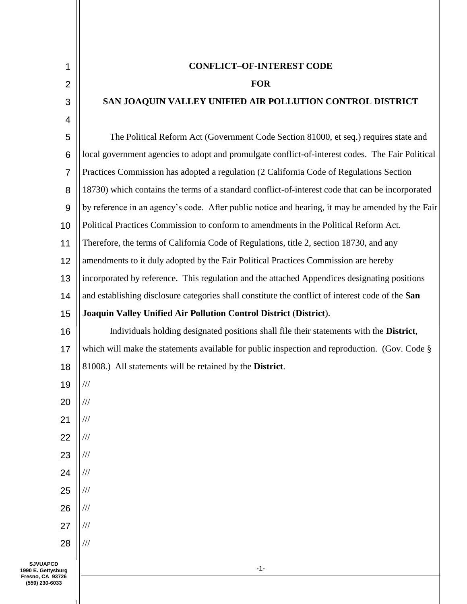| י               |
|-----------------|
| $\dot{\ }$<br>í |
|                 |
|                 |

3

4

1

### **CONFLICT–OF-INTEREST CODE**

#### **FOR**

## **SAN JOAQUIN VALLEY UNIFIED AIR POLLUTION CONTROL DISTRICT**

-1- 5 6 7 8 9 10 11 12 13 14 15 16 17 18 19 20 21 22 23 24 25 26 27 28 The Political Reform Act (Government Code Section 81000, et seq.) requires state and local government agencies to adopt and promulgate conflict-of-interest codes. The Fair Political Practices Commission has adopted a regulation (2 California Code of Regulations Section 18730) which contains the terms of a standard conflict-of-interest code that can be incorporated by reference in an agency's code. After public notice and hearing, it may be amended by the Fair Political Practices Commission to conform to amendments in the Political Reform Act. Therefore, the terms of California Code of Regulations, title 2, section 18730, and any amendments to it duly adopted by the Fair Political Practices Commission are hereby incorporated by reference. This regulation and the attached Appendices designating positions and establishing disclosure categories shall constitute the conflict of interest code of the **San Joaquin Valley Unified Air Pollution Control District** (**District**). Individuals holding designated positions shall file their statements with the **District**, which will make the statements available for public inspection and reproduction. (Gov. Code § 81008.) All statements will be retained by the **District**. /// /// /// /// /// /// /// /// /// ///

30 **Fresno, CA 93726 SJVUAPCD 1990 E. Gettysburg (559) 230-6033**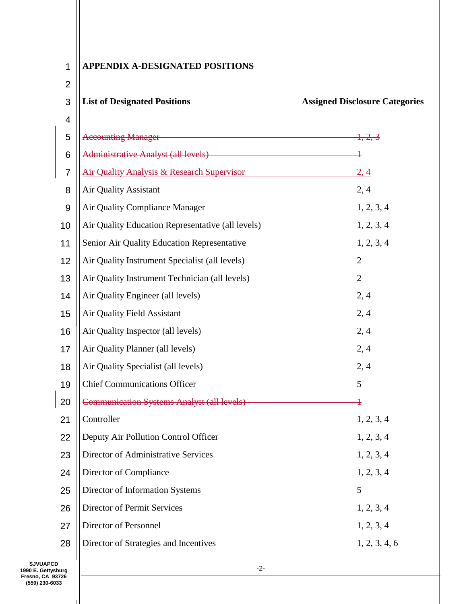# **APPENDIX A-DESIGNATED POSITIONS**

1

| $\overline{2}$ |                                                                           |                                       |
|----------------|---------------------------------------------------------------------------|---------------------------------------|
| 3              | <b>List of Designated Positions</b>                                       | <b>Assigned Disclosure Categories</b> |
| 4              |                                                                           |                                       |
| 5              | <u> 1980 - Johann Barn, mars ann an t-A</u><br><b>Accounting Manager</b>  | 1, 2, 3                               |
| 6              | Administrative Analyst (all levels)<br>Aministrative Analyst (all levels) | $\overline{+}$                        |
| $\overline{7}$ | <b>Air Quality Analysis &amp; Research Supervisor</b>                     | 2, 4                                  |
| 8              | <b>Air Quality Assistant</b>                                              | 2, 4                                  |
| $9\,$          | <b>Air Quality Compliance Manager</b>                                     | 1, 2, 3, 4                            |
| 10             | Air Quality Education Representative (all levels)                         | 1, 2, 3, 4                            |
| 11             | Senior Air Quality Education Representative                               | 1, 2, 3, 4                            |
| 12             | Air Quality Instrument Specialist (all levels)                            | $\overline{2}$                        |
| 13             | Air Quality Instrument Technician (all levels)                            | $\mathfrak{2}$                        |
| 14             | Air Quality Engineer (all levels)                                         | 2, 4                                  |
| 15             | Air Quality Field Assistant                                               | 2, 4                                  |
| 16             | Air Quality Inspector (all levels)                                        | 2, 4                                  |
| 17             | Air Quality Planner (all levels)                                          | 2, 4                                  |
| 18             | Air Quality Specialist (all levels)                                       | 2, 4                                  |
| 19             | <b>Chief Communications Officer</b>                                       | 5                                     |
| 20             | <b>Communication Systems Analyst (all levels)</b>                         |                                       |
| 21             | Controller                                                                | 1, 2, 3, 4                            |
| 22             | Deputy Air Pollution Control Officer                                      | 1, 2, 3, 4                            |
| 23             | Director of Administrative Services                                       | 1, 2, 3, 4                            |
| 24             | Director of Compliance                                                    | 1, 2, 3, 4                            |
| 25             | Director of Information Systems                                           | 5                                     |
| 26             | Director of Permit Services                                               | 1, 2, 3, 4                            |
| 27             | Director of Personnel                                                     | 1, 2, 3, 4                            |
| 28             | Director of Strategies and Incentives                                     | 1, 2, 3, 4, 6                         |
|                |                                                                           |                                       |

J.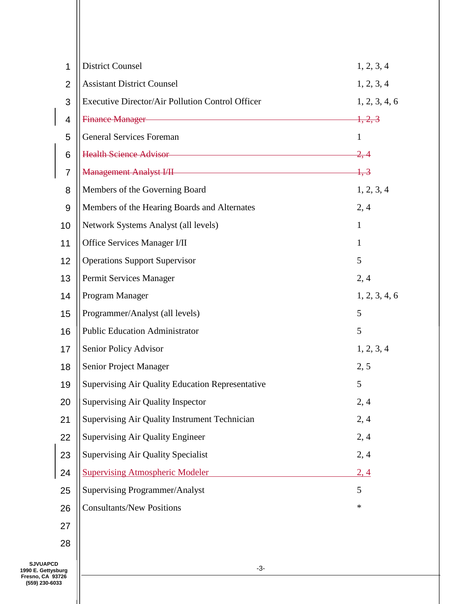| 1              | <b>District Counsel</b>                                                                 | 1, 2, 3, 4    |
|----------------|-----------------------------------------------------------------------------------------|---------------|
| $\overline{2}$ | <b>Assistant District Counsel</b>                                                       | 1, 2, 3, 4    |
| 3              | <b>Executive Director/Air Pollution Control Officer</b>                                 | 1, 2, 3, 4, 6 |
| 4              | <b>Finance Manager</b>                                                                  | 1, 2, 3       |
| 5              | <b>General Services Foreman</b>                                                         | $\mathbf{1}$  |
| 6              | Health Science Advisor                                                                  | 2,4           |
| 7              | <u> 1989 - Johann Stoff, fransk politik (d. 1989)</u><br><b>Management Analyst I/II</b> | $\frac{1}{2}$ |
| 8              | Members of the Governing Board                                                          | 1, 2, 3, 4    |
| 9              | Members of the Hearing Boards and Alternates                                            | 2, 4          |
| 10             | Network Systems Analyst (all levels)                                                    | $\mathbf{1}$  |
| 11             | Office Services Manager I/II                                                            | $\mathbf{1}$  |
| 12             | <b>Operations Support Supervisor</b>                                                    | 5             |
| 13             | Permit Services Manager                                                                 | 2, 4          |
| 14             | Program Manager                                                                         | 1, 2, 3, 4, 6 |
| 15             | Programmer/Analyst (all levels)                                                         | 5             |
| 16             | <b>Public Education Administrator</b>                                                   | 5             |
| 17             | Senior Policy Advisor                                                                   | 1, 2, 3, 4    |
| 18             | Senior Project Manager                                                                  | 2, 5          |
| 19             | Supervising Air Quality Education Representative                                        | 5             |
| 20             | <b>Supervising Air Quality Inspector</b>                                                | 2,4           |
| 21             | Supervising Air Quality Instrument Technician                                           | 2,4           |
| 22             | <b>Supervising Air Quality Engineer</b>                                                 | 2,4           |
| 23             | <b>Supervising Air Quality Specialist</b>                                               | 2,4           |
| 24             | <b>Supervising Atmospheric Modeler</b>                                                  | 2, 4          |
| 25             | <b>Supervising Programmer/Analyst</b>                                                   | 5             |
| 26             | <b>Consultants/New Positions</b>                                                        | $\ast$        |
| 27             |                                                                                         |               |
| 28             |                                                                                         |               |
|                |                                                                                         |               |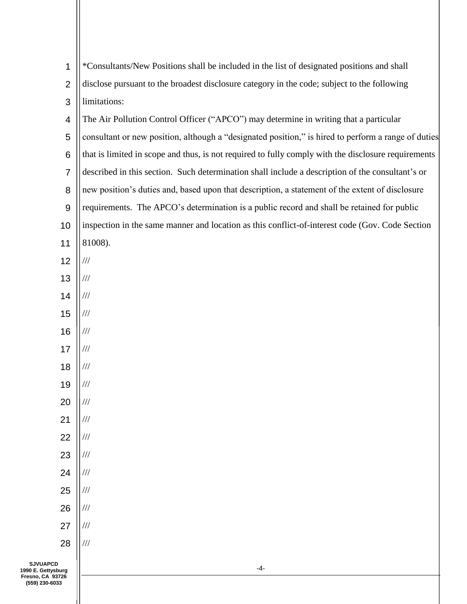| 1              | *Consultants/New Positions shall be included in the list of designated positions and shall          |  |
|----------------|-----------------------------------------------------------------------------------------------------|--|
| $\overline{2}$ | disclose pursuant to the broadest disclosure category in the code; subject to the following         |  |
| 3              | limitations:                                                                                        |  |
| 4              | The Air Pollution Control Officer ("APCO") may determine in writing that a particular               |  |
| 5              | consultant or new position, although a "designated position," is hired to perform a range of duties |  |
| 6              | that is limited in scope and thus, is not required to fully comply with the disclosure requirements |  |
| 7              | described in this section. Such determination shall include a description of the consultant's or    |  |
| 8              | new position's duties and, based upon that description, a statement of the extent of disclosure     |  |
| 9              | requirements. The APCO's determination is a public record and shall be retained for public          |  |
| 10             | inspection in the same manner and location as this conflict-of-interest code (Gov. Code Section     |  |
| 11             | 81008).                                                                                             |  |
| 12             | $/\!/ \!/$                                                                                          |  |
| 13             | $/\!/ \!/$                                                                                          |  |
| 14             | $/\!/ \!/$                                                                                          |  |
| 15             | $/\!/ \!/$                                                                                          |  |
| 16             | $/\!/ \!/$                                                                                          |  |
| 17             | $/\!/ \!/$                                                                                          |  |
| 18             | $/\!/ \!/$                                                                                          |  |
| 19             | $\frac{1}{1}$                                                                                       |  |
| 20             | $\frac{1}{1}$                                                                                       |  |
| 21             | $/\!/ /$                                                                                            |  |
| 22             | $/\!/ \!/$                                                                                          |  |
| 23             | $/\!/ \!/$                                                                                          |  |
| 24             | $/\!/ /$                                                                                            |  |
| 25             | $/\!/ \!/$                                                                                          |  |
| 26             | $/\!/ /$                                                                                            |  |
| 27             | $/\!/ /$                                                                                            |  |
| 28             | $/\!/ /$                                                                                            |  |
| CD<br>vsbura   | $-4-$                                                                                               |  |

'26<br>ง **SJVUAPCD 1990 E. Gettysburg Fresno, CA 93726 (559) 230-6033**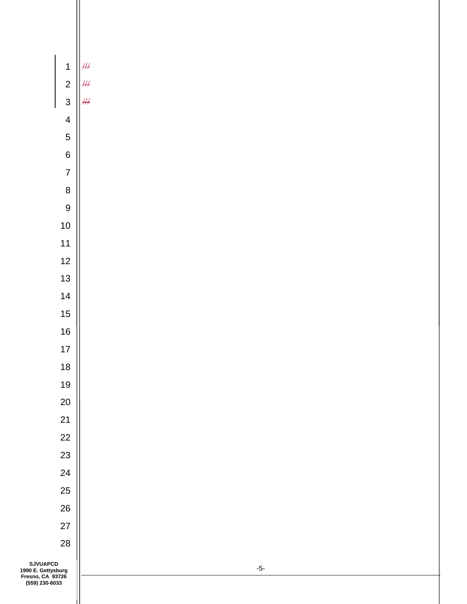| $\mathbf 1$                                                          | $\#$  |
|----------------------------------------------------------------------|-------|
| $\overline{c}$                                                       | $\#$  |
| $\overline{3}$                                                       | $\#$  |
| $\overline{\mathcal{L}}$                                             |       |
| 5                                                                    |       |
| $\overline{6}$                                                       |       |
| $\overline{7}$                                                       |       |
| $\bf 8$                                                              |       |
| 9                                                                    |       |
| 10                                                                   |       |
| $11$                                                                 |       |
| $12$                                                                 |       |
| 13                                                                   |       |
| 14                                                                   |       |
| 15                                                                   |       |
| 16                                                                   |       |
| $17$                                                                 |       |
| 18                                                                   |       |
| 19                                                                   |       |
| $20\,$                                                               |       |
| 21                                                                   |       |
| 22                                                                   |       |
| 23                                                                   |       |
| 24                                                                   |       |
| 25                                                                   |       |
| $26\,$                                                               |       |
| 27                                                                   |       |
| 28                                                                   |       |
| SJVUAPCD<br>1990 E. Gettysburg<br>Fresno, CA 93726<br>(559) 230-6033 | $-5-$ |

ı  $\mathbf{H}$